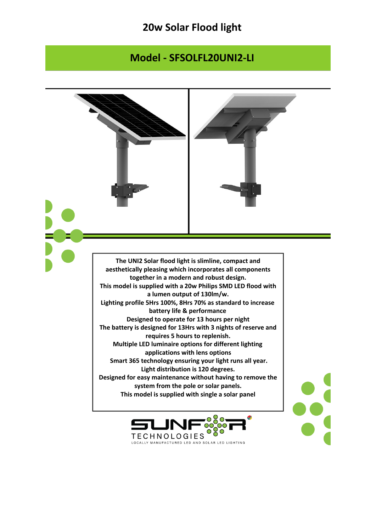## **20w Solar Flood light**

## **Model - SFSOLFL20UNI2-LI**

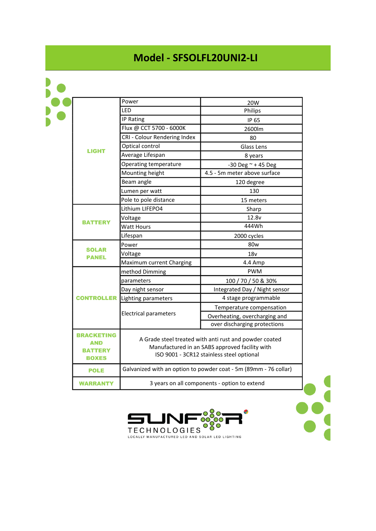## **Model - SFSOLFL20UNI2-LI**

| <b>LIGHT</b>                                               | Power                                                                                                                                                 | 20W                           |
|------------------------------------------------------------|-------------------------------------------------------------------------------------------------------------------------------------------------------|-------------------------------|
|                                                            | LED                                                                                                                                                   | Philips                       |
|                                                            | IP Rating                                                                                                                                             | IP 65                         |
|                                                            | Flux @ CCT 5700 - 6000K                                                                                                                               | 2600lm                        |
|                                                            | CRI - Colour Rendering Index                                                                                                                          | 80                            |
|                                                            | Optical control                                                                                                                                       | Glass Lens                    |
|                                                            | Average Lifespan                                                                                                                                      | 8 years                       |
|                                                            | Operating temperature                                                                                                                                 | $-30$ Deg $\approx +45$ Deg   |
|                                                            | Mounting height                                                                                                                                       | 4.5 - 5m meter above surface  |
|                                                            | Beam angle                                                                                                                                            | 120 degree                    |
|                                                            | Lumen per watt                                                                                                                                        | 130                           |
|                                                            | Pole to pole distance                                                                                                                                 | 15 meters                     |
| <b>BATTERY</b>                                             | Lithium LIFEPO4                                                                                                                                       | Sharp                         |
|                                                            | Voltage                                                                                                                                               | 12.8v                         |
|                                                            | <b>Watt Hours</b>                                                                                                                                     | 444Wh                         |
|                                                            | Lifespan                                                                                                                                              | 2000 cycles                   |
| <b>SOLAR</b><br><b>PANEL</b>                               | Power                                                                                                                                                 | 80 <sub>w</sub>               |
|                                                            | Voltage                                                                                                                                               | 18v                           |
|                                                            | Maximum current Charging                                                                                                                              | 4.4 Amp                       |
| <b>CONTROLLER</b>                                          | method Dimming                                                                                                                                        | <b>PWM</b>                    |
|                                                            | parameters                                                                                                                                            | 100 / 70 / 50 & 30%           |
|                                                            | Day night sensor                                                                                                                                      | Integrated Day / Night sensor |
|                                                            | Lighting parameters                                                                                                                                   | 4 stage programmable          |
|                                                            | <b>Electrical parameters</b>                                                                                                                          | Temperature compensation      |
|                                                            |                                                                                                                                                       | Overheating, overcharging and |
|                                                            |                                                                                                                                                       | over discharging protections  |
| <b>BRACKETING</b><br>AND<br><b>BATTERY</b><br><b>BOXES</b> | A Grade steel treated with anti rust and powder coated<br>Manufactured in an SABS approved facility with<br>ISO 9001 - 3CR12 stainless steel optional |                               |
| <b>POLE</b>                                                | Galvanized with an option to powder coat - 5m (89mm - 76 collar)                                                                                      |                               |
| <b>WARRANTY</b>                                            | 3 years on all components - option to extend                                                                                                          |                               |